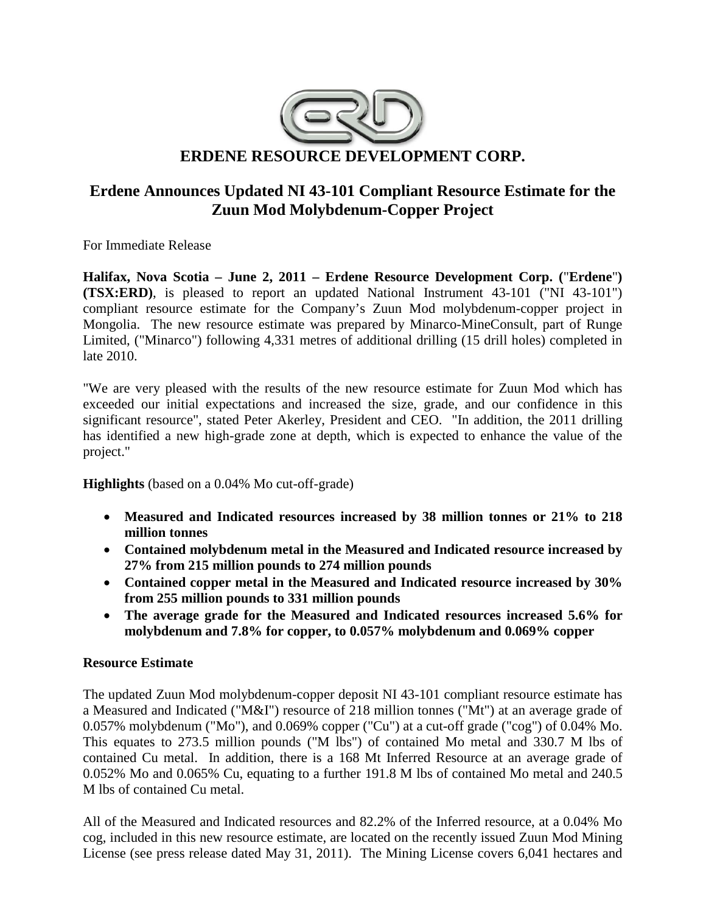

# **Erdene Announces Updated NI 43-101 Compliant Resource Estimate for the Zuun Mod Molybdenum-Copper Project**

For Immediate Release

**Halifax, Nova Scotia – June 2, 2011 – Erdene Resource Development Corp. (**"**Erdene**"**) (TSX:ERD)**, is pleased to report an updated National Instrument 43-101 ("NI 43-101") compliant resource estimate for the Company's Zuun Mod molybdenum-copper project in Mongolia. The new resource estimate was prepared by Minarco-MineConsult, part of Runge Limited, ("Minarco") following 4,331 metres of additional drilling (15 drill holes) completed in late 2010.

"We are very pleased with the results of the new resource estimate for Zuun Mod which has exceeded our initial expectations and increased the size, grade, and our confidence in this significant resource", stated Peter Akerley, President and CEO. "In addition, the 2011 drilling has identified a new high-grade zone at depth, which is expected to enhance the value of the project."

**Highlights** (based on a 0.04% Mo cut-off-grade)

- **Measured and Indicated resources increased by 38 million tonnes or 21% to 218 million tonnes**
- **Contained molybdenum metal in the Measured and Indicated resource increased by 27% from 215 million pounds to 274 million pounds**
- **Contained copper metal in the Measured and Indicated resource increased by 30% from 255 million pounds to 331 million pounds**
- **The average grade for the Measured and Indicated resources increased 5.6% for molybdenum and 7.8% for copper, to 0.057% molybdenum and 0.069% copper**

# **Resource Estimate**

The updated Zuun Mod molybdenum-copper deposit NI 43-101 compliant resource estimate has a Measured and Indicated ("M&I") resource of 218 million tonnes ("Mt") at an average grade of 0.057% molybdenum ("Mo"), and 0.069% copper ("Cu") at a cut-off grade ("cog") of 0.04% Mo. This equates to 273.5 million pounds ("M lbs") of contained Mo metal and 330.7 M lbs of contained Cu metal. In addition, there is a 168 Mt Inferred Resource at an average grade of 0.052% Mo and 0.065% Cu, equating to a further 191.8 M lbs of contained Mo metal and 240.5 M lbs of contained Cu metal.

All of the Measured and Indicated resources and 82.2% of the Inferred resource, at a 0.04% Mo cog, included in this new resource estimate, are located on the recently issued Zuun Mod Mining License (see press release dated May 31, 2011). The Mining License covers 6,041 hectares and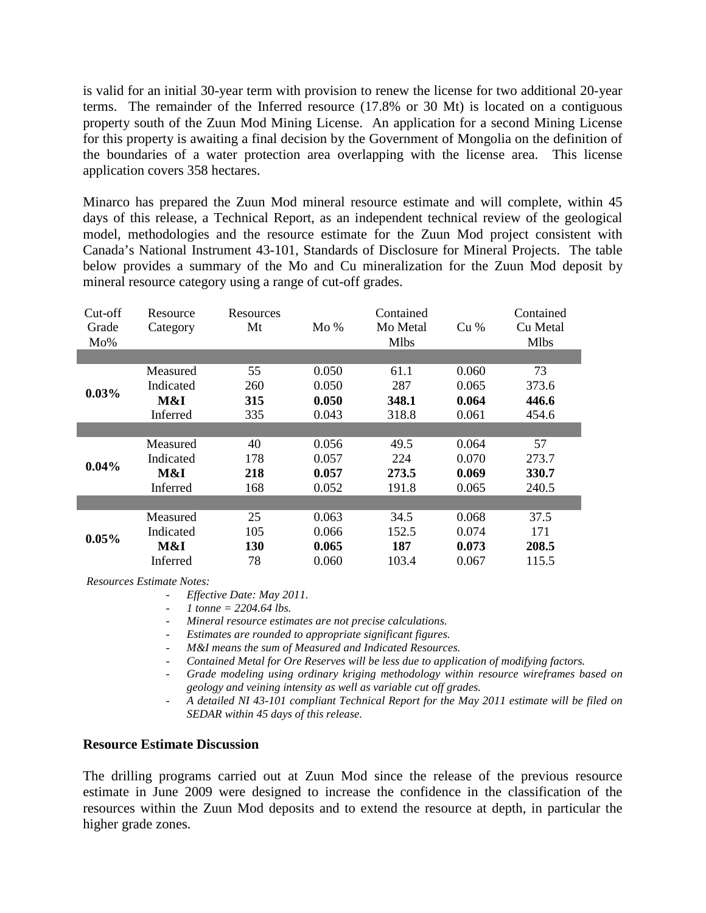is valid for an initial 30-year term with provision to renew the license for two additional 20-year terms. The remainder of the Inferred resource (17.8% or 30 Mt) is located on a contiguous property south of the Zuun Mod Mining License. An application for a second Mining License for this property is awaiting a final decision by the Government of Mongolia on the definition of the boundaries of a water protection area overlapping with the license area. This license application covers 358 hectares.

Minarco has prepared the Zuun Mod mineral resource estimate and will complete, within 45 days of this release, a Technical Report, as an independent technical review of the geological model, methodologies and the resource estimate for the Zuun Mod project consistent with Canada's National Instrument 43-101, Standards of Disclosure for Mineral Projects. The table below provides a summary of the Mo and Cu mineralization for the Zuun Mod deposit by mineral resource category using a range of cut-off grades.

| Cut-off<br>Grade<br>Mo% | Resource<br>Category | Resources<br>Mt | Mo%   | Contained<br>Mo Metal<br><b>Mlbs</b> | Cu%   | Contained<br>Cu Metal<br><b>Mlbs</b> |
|-------------------------|----------------------|-----------------|-------|--------------------------------------|-------|--------------------------------------|
|                         |                      |                 |       |                                      |       |                                      |
| 0.03%                   | Measured             | 55              | 0.050 | 61.1                                 | 0.060 | 73                                   |
|                         | Indicated            | 260             | 0.050 | 287                                  | 0.065 | 373.6                                |
|                         | M&I                  | 315             | 0.050 | 348.1                                | 0.064 | 446.6                                |
|                         | Inferred             | 335             | 0.043 | 318.8                                | 0.061 | 454.6                                |
|                         |                      |                 |       |                                      |       |                                      |
| $0.04\%$                | Measured             | 40              | 0.056 | 49.5                                 | 0.064 | 57                                   |
|                         | Indicated            | 178             | 0.057 | 224                                  | 0.070 | 273.7                                |
|                         | M&I                  | 218             | 0.057 | 273.5                                | 0.069 | 330.7                                |
|                         | Inferred             | 168             | 0.052 | 191.8                                | 0.065 | 240.5                                |
|                         |                      |                 |       |                                      |       |                                      |
| 0.05%                   | Measured             | 25              | 0.063 | 34.5                                 | 0.068 | 37.5                                 |
|                         | Indicated            | 105             | 0.066 | 152.5                                | 0.074 | 171                                  |
|                         | M&I                  | 130             | 0.065 | 187                                  | 0.073 | 208.5                                |
|                         | Inferred             | 78              | 0.060 | 103.4                                | 0.067 | 115.5                                |

*Resources Estimate Notes:*

- *1 tonne = 2204.64 lbs.*
- *Mineral resource estimates are not precise calculations.*
- *Estimates are rounded to appropriate significant figures.*
- *M&I means the sum of Measured and Indicated Resources.*
- *Contained Metal for Ore Reserves will be less due to application of modifying factors.*
- *Grade modeling using ordinary kriging methodology within resource wireframes based on geology and veining intensity as well as variable cut off grades.*
- *A detailed NI 43-101 compliant Technical Report for the May 2011 estimate will be filed on SEDAR within 45 days of this release.*

#### **Resource Estimate Discussion**

The drilling programs carried out at Zuun Mod since the release of the previous resource estimate in June 2009 were designed to increase the confidence in the classification of the resources within the Zuun Mod deposits and to extend the resource at depth, in particular the higher grade zones.

<sup>-</sup> *Effective Date: May 2011.*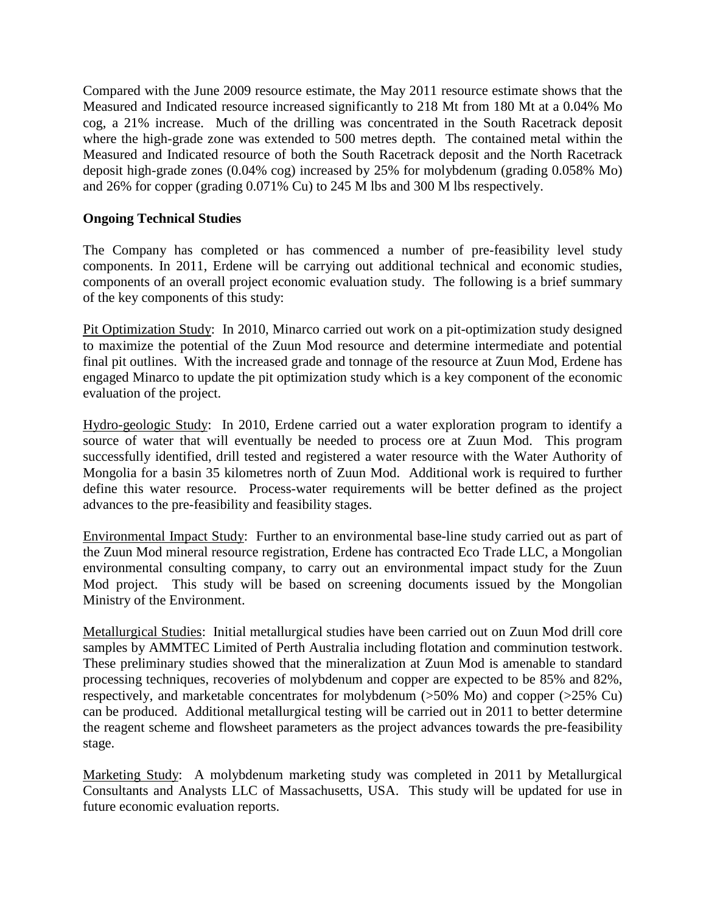Compared with the June 2009 resource estimate, the May 2011 resource estimate shows that the Measured and Indicated resource increased significantly to 218 Mt from 180 Mt at a 0.04% Mo cog, a 21% increase. Much of the drilling was concentrated in the South Racetrack deposit where the high-grade zone was extended to 500 metres depth. The contained metal within the Measured and Indicated resource of both the South Racetrack deposit and the North Racetrack deposit high-grade zones (0.04% cog) increased by 25% for molybdenum (grading 0.058% Mo) and 26% for copper (grading 0.071% Cu) to 245 M lbs and 300 M lbs respectively.

# **Ongoing Technical Studies**

The Company has completed or has commenced a number of pre-feasibility level study components. In 2011, Erdene will be carrying out additional technical and economic studies, components of an overall project economic evaluation study. The following is a brief summary of the key components of this study:

Pit Optimization Study: In 2010, Minarco carried out work on a pit-optimization study designed to maximize the potential of the Zuun Mod resource and determine intermediate and potential final pit outlines. With the increased grade and tonnage of the resource at Zuun Mod, Erdene has engaged Minarco to update the pit optimization study which is a key component of the economic evaluation of the project.

Hydro-geologic Study: In 2010, Erdene carried out a water exploration program to identify a source of water that will eventually be needed to process ore at Zuun Mod. This program successfully identified, drill tested and registered a water resource with the Water Authority of Mongolia for a basin 35 kilometres north of Zuun Mod. Additional work is required to further define this water resource. Process-water requirements will be better defined as the project advances to the pre-feasibility and feasibility stages.

Environmental Impact Study: Further to an environmental base-line study carried out as part of the Zuun Mod mineral resource registration, Erdene has contracted Eco Trade LLC, a Mongolian environmental consulting company, to carry out an environmental impact study for the Zuun Mod project. This study will be based on screening documents issued by the Mongolian Ministry of the Environment.

Metallurgical Studies: Initial metallurgical studies have been carried out on Zuun Mod drill core samples by AMMTEC Limited of Perth Australia including flotation and comminution testwork. These preliminary studies showed that the mineralization at Zuun Mod is amenable to standard processing techniques, recoveries of molybdenum and copper are expected to be 85% and 82%, respectively, and marketable concentrates for molybdenum (>50% Mo) and copper (>25% Cu) can be produced. Additional metallurgical testing will be carried out in 2011 to better determine the reagent scheme and flowsheet parameters as the project advances towards the pre-feasibility stage.

Marketing Study: A molybdenum marketing study was completed in 2011 by Metallurgical Consultants and Analysts LLC of Massachusetts, USA. This study will be updated for use in future economic evaluation reports.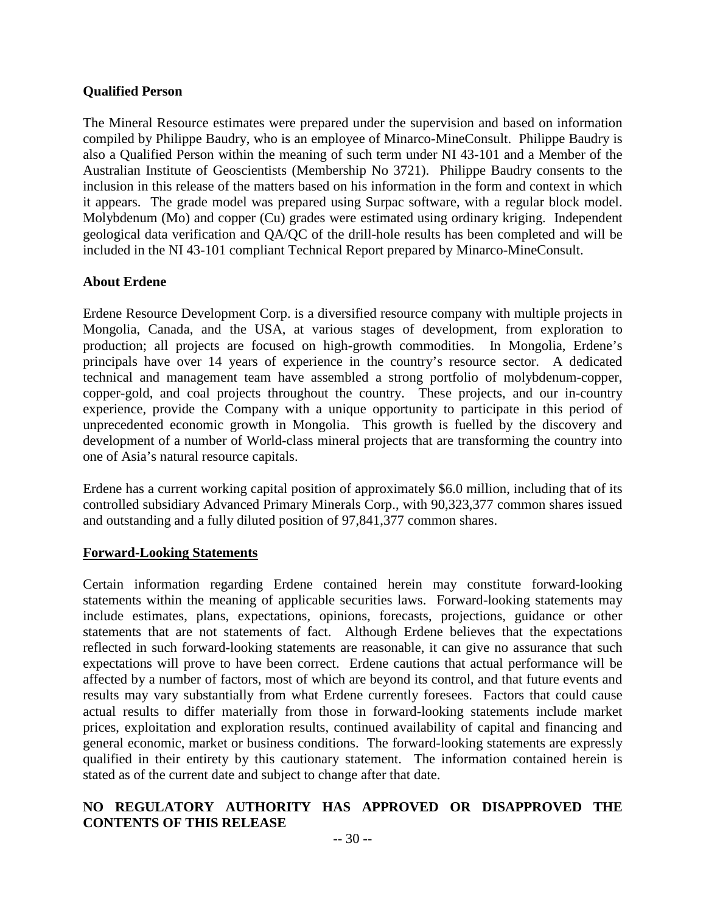### **Qualified Person**

The Mineral Resource estimates were prepared under the supervision and based on information compiled by Philippe Baudry, who is an employee of Minarco-MineConsult. Philippe Baudry is also a Qualified Person within the meaning of such term under NI 43-101 and a Member of the Australian Institute of Geoscientists (Membership No 3721). Philippe Baudry consents to the inclusion in this release of the matters based on his information in the form and context in which it appears. The grade model was prepared using Surpac software, with a regular block model. Molybdenum (Mo) and copper (Cu) grades were estimated using ordinary kriging. Independent geological data verification and QA/QC of the drill-hole results has been completed and will be included in the NI 43-101 compliant Technical Report prepared by Minarco-MineConsult.

### **About Erdene**

Erdene Resource Development Corp. is a diversified resource company with multiple projects in Mongolia, Canada, and the USA, at various stages of development, from exploration to production; all projects are focused on high-growth commodities. In Mongolia, Erdene's principals have over 14 years of experience in the country's resource sector. A dedicated technical and management team have assembled a strong portfolio of molybdenum-copper, copper-gold, and coal projects throughout the country. These projects, and our in-country experience, provide the Company with a unique opportunity to participate in this period of unprecedented economic growth in Mongolia. This growth is fuelled by the discovery and development of a number of World-class mineral projects that are transforming the country into one of Asia's natural resource capitals.

Erdene has a current working capital position of approximately \$6.0 million, including that of its controlled subsidiary Advanced Primary Minerals Corp., with 90,323,377 common shares issued and outstanding and a fully diluted position of 97,841,377 common shares.

#### **Forward-Looking Statements**

Certain information regarding Erdene contained herein may constitute forward-looking statements within the meaning of applicable securities laws. Forward-looking statements may include estimates, plans, expectations, opinions, forecasts, projections, guidance or other statements that are not statements of fact. Although Erdene believes that the expectations reflected in such forward-looking statements are reasonable, it can give no assurance that such expectations will prove to have been correct. Erdene cautions that actual performance will be affected by a number of factors, most of which are beyond its control, and that future events and results may vary substantially from what Erdene currently foresees. Factors that could cause actual results to differ materially from those in forward-looking statements include market prices, exploitation and exploration results, continued availability of capital and financing and general economic, market or business conditions. The forward-looking statements are expressly qualified in their entirety by this cautionary statement. The information contained herein is stated as of the current date and subject to change after that date.

# **NO REGULATORY AUTHORITY HAS APPROVED OR DISAPPROVED THE CONTENTS OF THIS RELEASE**